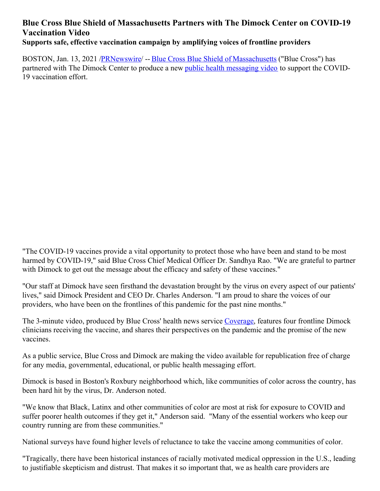## **Blue Cross Blue Shield of Massachusetts Partners with The Dimock Center on COVID-19 Vaccination Video Supports safe, effective vaccination campaign by amplifying voices of frontline providers**

BOSTON, Jan. 13, 2021 [/PRNewswire](http://www.prnewswire.com/)/ -- Blue Cross Blue Shield of [Massachusetts](https://c212.net/c/link/?t=0&l=en&o=3036312-1&h=4228777981&u=https%3A%2F%2Fwww.bluecrossma.org%2F&a=Blue+Cross+Blue+Shield+of+Massachusetts) ("Blue Cross") has partnered with The Dimock Center to produce a new public health [messaging](https://c212.net/c/link/?t=0&l=en&o=3036312-1&h=988580227&u=https%3A%2F%2Fwww.youtube.com%2Fwatch%3Fv%3Dko6ZzvxzacI%26feature%3Dyoutu.be&a=public+health+messaging+video) video to support the COVID-19 vaccination effort.

"The COVID-19 vaccines provide a vital opportunity to protect those who have been and stand to be most harmed by COVID-19," said Blue Cross Chief Medical Officer Dr. Sandhya Rao. "We are grateful to partner with Dimock to get out the message about the efficacy and safety of these vaccines."

"Our staff at Dimock have seen firsthand the devastation brought by the virus on every aspect of our patients' lives," said Dimock President and CEO Dr. Charles Anderson. "I am proud to share the voices of our providers, who have been on the frontlines of this pandemic for the past nine months."

The 3-minute video, produced by Blue Cross' health news service [Coverage](https://c212.net/c/link/?t=0&l=en&o=3036312-1&h=1423384804&u=https%3A%2F%2Fcoverage.bluecrossma.com%2F&a=Coverage), features four frontline Dimock clinicians receiving the vaccine, and shares their perspectives on the pandemic and the promise of the new vaccines.

As a public service, Blue Cross and Dimock are making the video available for republication free of charge for any media, governmental, educational, or public health messaging effort.

Dimock is based in Boston's Roxbury neighborhood which, like communities of color across the country, has been hard hit by the virus, Dr. Anderson noted.

"We know that Black, Latinx and other communities of color are most at risk for exposure to COVID and suffer poorer health outcomes if they get it," Anderson said. "Many of the essential workers who keep our country running are from these communities."

National surveys have found higher levels of reluctance to take the vaccine among communities of color.

"Tragically, there have been historical instances of racially motivated medical oppression in the U.S., leading to justifiable skepticism and distrust. That makes it so important that, we as health care providers are